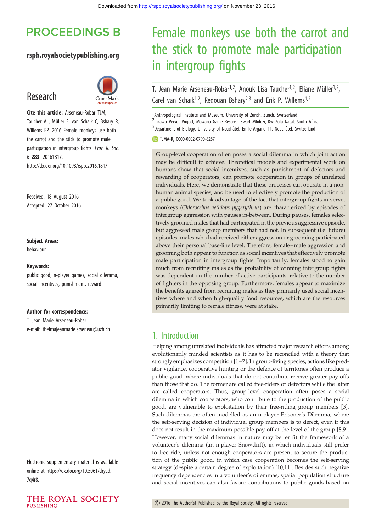## **PROCEEDINGS B**

## rspb.royalsocietypublishing.org

## Research



Cite this article: Arseneau-Robar TJM, Taucher AL, Müller E, van Schaik C, Bshary R, Willems EP. 2016 Female monkeys use both the carrot and the stick to promote male participation in intergroup fights. Proc. R. Soc. B 283: 20161817. http://dx.doi.org/10.1098/rspb.2016.1817

Received: 18 August 2016 Accepted: 27 October 2016

#### Subject Areas:

behaviour

#### Keywords:

public good, n-player games, social dilemma, social incentives, punishment, reward

#### Author for correspondence:

T. Jean Marie Arseneau-Robar e-mail: [thelmajeanmarie.arseneau@uzh.ch](mailto:thelmajeanmarie.arseneau@uzh.ch)

Electronic supplementary material is available online at [https://dx.doi.org/10.5061/dryad.](https://dx.doi.org/10.5061/dryad.7q4r8) [7q4r8](https://dx.doi.org/10.5061/dryad.7q4r8).



# Female monkeys use both the carrot and the stick to promote male participation in intergroup fights

T. Jean Marie Arseneau-Robar<sup>1,2</sup>, Anouk Lisa Taucher<sup>1,2</sup>, Eliane Müller<sup>1,2</sup>, Carel van Schaik<sup>1,2</sup>, Redouan Bshary<sup>2,3</sup> and Erik P. Willems<sup>1,2</sup>

<sup>1</sup> Anthropological Institute and Museum, University of Zurich, Zurich, Switzerland <sup>2</sup>Inkawu Vervet Project, Mawana Game Reserve, Swart Mfolozi, KwaZulu Natal, South Africa <sup>3</sup>Department of Biology, University of Neuchâtel, Emile-Argand 11, Neuchâtel, Switzerland

TJMA-R, [0000-0002-0790-8287](http://orcid.org/0000-0002-0790-8287)

Group-level cooperation often poses a social dilemma in which joint action may be difficult to achieve. Theoretical models and experimental work on humans show that social incentives, such as punishment of defectors and rewarding of cooperators, can promote cooperation in groups of unrelated individuals. Here, we demonstrate that these processes can operate in a nonhuman animal species, and be used to effectively promote the production of a public good. We took advantage of the fact that intergroup fights in vervet monkeys (Chlorocebus aethiops pygerythrus) are characterized by episodes of intergroup aggression with pauses in-between. During pauses, females selectively groomed males that had participated in the previous aggressive episode, but aggressed male group members that had not. In subsequent (i.e. future) episodes, males who had received either aggression or grooming participated above their personal base-line level. Therefore, female–male aggression and grooming both appear to function as social incentives that effectively promote male participation in intergroup fights. Importantly, females stood to gain much from recruiting males as the probability of winning intergroup fights was dependent on the number of active participants, relative to the number of fighters in the opposing group. Furthermore, females appear to maximize the benefits gained from recruiting males as they primarily used social incentives where and when high-quality food resources, which are the resources primarily limiting to female fitness, were at stake.

## 1. Introduction

Helping among unrelated individuals has attracted major research efforts among evolutionarily minded scientists as it has to be reconciled with a theory that strongly emphasizes competition [[1](#page-6-0)–[7](#page-7-0)]. In group-living species, actions like predator vigilance, cooperative hunting or the defence of territories often produce a public good, where individuals that do not contribute receive greater pay-offs than those that do. The former are called free-riders or defectors while the latter are called cooperators. Thus, group-level cooperation often poses a social dilemma in which cooperators, who contribute to the production of the public good, are vulnerable to exploitation by their free-riding group members [\[3\]](#page-6-0). Such dilemmas are often modelled as an n-player Prisoner's Dilemma, where the self-serving decision of individual group members is to defect, even if this does not result in the maximum possible pay-off at the level of the group [[8,9\]](#page-7-0). However, many social dilemmas in nature may better fit the framework of a volunteer's dilemma (an n-player Snowdrift), in which individuals still prefer to free-ride, unless not enough cooperators are present to secure the production of the public good, in which case cooperation becomes the self-serving strategy (despite a certain degree of exploitation) [\[10,11](#page-7-0)]. Besides such negative frequency dependencies in a volunteer's dilemmas, spatial population structure and social incentives can also favour contributions to public goods based on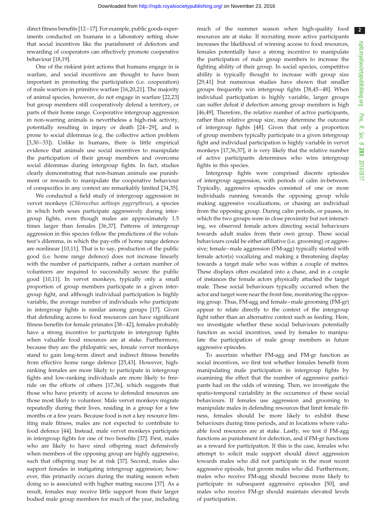2

direct fitness benefits [[12](#page-7-0)–[17\]](#page-7-0). For example, public goods experiments conducted on humans in a laboratory setting show that social incentives like the punishment of defectors and rewarding of cooperators can effectively promote cooperative behaviour [\[18,19\]](#page-7-0).

One of the riskiest joint actions that humans engage in is warfare, and social incentives are thought to have been important in promoting the participation (i.e. cooperation) of male warriors in primitive warfare [\[16,20](#page-7-0),[21](#page-7-0)]. The majority of animal species, however, do not engage in warfare [\[22](#page-7-0),[23\]](#page-7-0) but group members still cooperatively defend a territory, or parts of their home range. Cooperative intergroup aggression in non-warring animals is nevertheless a high-risk activity, potentially resulting in injury or death [\[24](#page-7-0)–[29\]](#page-7-0), and is prone to social dilemmas (e.g. the collective action problem [\[3](#page-6-0)[,30](#page-7-0) –[33](#page-7-0)]). Unlike in humans, there is little empirical evidence that animals use social incentives to manipulate the participation of their group members and overcome social dilemmas during intergroup fights. In fact, studies clearly demonstrating that non-human animals use punishment or rewards to manipulate the cooperative behaviour of conspecifics in any context are remarkably limited [\[34,35](#page-7-0)].

We conducted a field study of intergroup aggression in vervet monkeys (Chlorocebus aethiops pygerythrus), a species in which both sexes participate aggressively during intergroup fights, even though males are approximately 1.5 times larger than females [[36,37\]](#page-7-0). Patterns of intergroup aggression in this species follow the predictions of the volunteer's dilemma, in which the pay-offs of home range defence are nonlinear [[10,11\]](#page-7-0). That is to say, production of the public good (i.e. home range defence) does not increase linearly with the number of participants, rather a certain number of volunteers are required to successfully secure the public good [\[10,11](#page-7-0)]. In vervet monkeys, typically only a small proportion of group members participate in a given intergroup fight, and although individual participation is highly variable, the average number of individuals who participate in intergroup fights is similar among groups [[17\]](#page-7-0). Given that defending access to food resources can have significant fitness benefits for female primates [\[38](#page-7-0) –[42](#page-7-0)], females probably have a strong incentive to participate in intergroup fights when valuable food resources are at stake. Furthermore, because they are the philopatric sex, female vervet monkeys stand to gain long-term direct and indirect fitness benefits from effective home range defence [\[25,43](#page-7-0)]. However, highranking females are more likely to participate in intergroup fights and low-ranking individuals are more likely to freeride on the efforts of others [\[17](#page-7-0),[36\]](#page-7-0), which suggests that those who have priority of access to defended resources are those most likely to volunteer. Male vervet monkeys migrate repeatedly during their lives, residing in a group for a few months or a few years. Because food is not a key resource limiting male fitness, males are not expected to contribute to food defence [\[44](#page-7-0)]. Instead, male vervet monkeys participate in intergroup fights for one of two benefits [[37\]](#page-7-0). First, males who are likely to have sired offspring react defensively when members of the opposing group are highly aggressive, such that offspring may be at risk [\[37](#page-7-0)]. Second, males also support females in instigating intergroup aggression; however, this primarily occurs during the mating season when doing so is associated with higher mating success [[37\]](#page-7-0). As a result, females may receive little support from their larger bodied male group members for much of the year, including much of the summer season when high-quality food resources are at stake. If recruiting more active participants increases the likelihood of winning access to food resources, females potentially have a strong incentive to manipulate the participation of male group members to increase the fighting ability of their group. In social species, competitive ability is typically thought to increase with group size [[29,41\]](#page-7-0) but numerous studies have shown that smaller groups frequently win intergroup fights [\[38,45](#page-7-0) –[48\]](#page-7-0). When individual participation is highly variable, larger groups can suffer defeat if defection among group members is high [[46,49\]](#page-7-0). Therefore, the relative number of active participants, rather than relative group size, may determine the outcome of intergroup fights [[48\]](#page-7-0). Given that only a proportion of group members typically participate in a given intergroup fight and individual participation is highly variable in vervet monkeys [\[17,36](#page-7-0),[37\]](#page-7-0), it is very likely that the relative number of active participants determines who wins intergroup fights in this species.

Intergroup fights were comprised discrete episodes of intergroup aggression, with periods of calm in-between. Typically, aggressive episodes consisted of one or more individuals running towards the opposing group while making aggressive vocalizations, or chasing an individual from the opposing group. During calm periods, or pauses, in which the two groups were in close proximity but not interacting, we observed female actors directing social behaviours towards adult males from their own group. These social behaviours could be either affiliative (i.e. grooming) or aggressive; female–male aggression (FM-agg) typically started with female actor(s) vocalizing and making a threatening display towards a target male who was within a couple of metres. These displays often escalated into a chase, and in a couple of instances the female actors physically attacked the target male. These social behaviours typically occurred when the actor and target were near the front-line, monitoring the opposing group. Thus, FM-agg and female–male grooming (FM-gr) appear to relate directly to the context of the intergroup fight rather than an alternative context such as feeding. Here, we investigate whether these social behaviours potentially function as social incentives, used by females to manipulate the participation of male group members in future aggressive episodes.

To ascertain whether FM-agg and FM-gr function as social incentives, we first test whether females benefit from manipulating male participation in intergroup fights by examining the effect that the number of aggressive participants had on the odds of winning. Then, we investigate the spatio-temporal variability in the occurrence of these social behaviours. If females use aggression and grooming to manipulate males in defending resources that limit female fitness, females should be more likely to exhibit these behaviours during time periods, and in locations where valuable food resources are at stake. Lastly, we test if FM-agg functions as punishment for defection, and if FM-gr functions as a reward for participation. If this is the case, females who attempt to solicit male support should direct aggression towards males who did not participate in the most recent aggressive episode, but groom males who did. Furthermore, males who receive FM-agg should become more likely to participate in subsequent aggressive episodes [[50\]](#page-7-0), and males who receive FM-gr should maintain elevated levels of participation.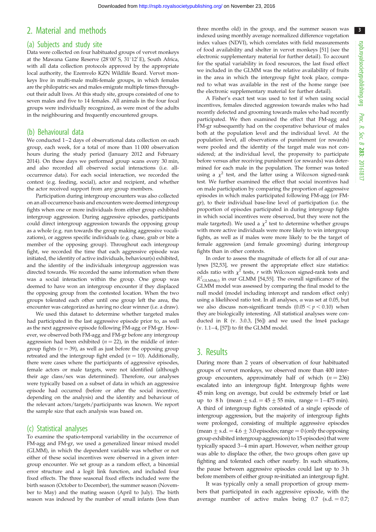## 2. Material and methods

## (a) Subjects and study site

Data were collected on four habituated groups of vervet monkeys at the Mawana Game Reserve ( $28^{\circ}00'$  S,  $31^{\circ}12'$  E), South Africa, with all data collection protocols approved by the appropriate local authority, the Ezemvelo KZN Wildlife Board. Vervet monkeys live in multi-male multi-female groups, in which females are the philopatric sex and males emigrate multiple times throughout their adult lives. At this study site, groups consisted of one to seven males and five to 14 females. All animals in the four focal groups were individually recognized, as were most of the adults in the neighbouring and frequently encountered groups.

#### (b) Behavioural data

We conducted 1-2 days of observational data collection on each group, each week, for a total of more than 11 000 observation hours during the study period (January 2012 and February 2014). On these days we performed group scans every 30 min, and also recorded all observed social interactions (i.e. alloccurrence data). For each social interaction, we recorded the context (e.g. feeding, social), actor and recipient, and whether the actor received support from any group members.

Participation during intergroup encounters was also collected on an all-occurrence basis and encounters were deemed intergroup fights when one or more individuals from either group exhibited intergroup aggression. During aggressive episodes, participants could direct intergroup aggression towards the opposing group as a whole (e.g. run towards the group making aggressive vocalizations), or aggress specific individuals (e.g. chase, grab or bite a member of the opposing group). Throughout each intergroup fight, we recorded the time that each aggressive episode was initiated, the identity of active individuals, behaviour(s) exhibited, and the identity of the individuals intergroup aggression was directed towards. We recorded the same information when there was a social interaction within the group. One group was deemed to have won an intergroup encounter if they displaced the opposing group from the contested location. When the two groups tolerated each other until one group left the area, the encounter was categorized as having no clear winner (i.e. a draw).

We used this dataset to determine whether targeted males had participated in the last aggressive episode prior to, as well as the next aggressive episode following FM-agg or FM-gr. However, we observed both FM-agg and FM-gr before any intergroup aggression had been exhibited  $(n = 22)$ , in the middle of intergroup fights ( $n = 39$ ), as well as just before the opposing group retreated and the intergroup fight ended ( $n = 10$ ). Additionally, there were cases where the participants of aggressive episodes, female actors or male targets, were not identified (although their age class/sex was determined). Therefore, our analyses were typically based on a subset of data in which an aggressive episode had occurred (before or after the social incentive, depending on the analysis) and the identity and behaviour of the relevant actors/targets/participants was known. We report the sample size that each analysis was based on.

#### (c) Statistical analyses

To examine the spatio-temporal variability in the occurrence of FM-agg and FM-gr, we used a generalized linear mixed model (GLMM), in which the dependent variable was whether or not either of these social incentives were observed in a given intergroup encounter. We set group as a random effect, a binomial error structure and a logit link function, and included four fixed effects. The three seasonal fixed effects included were the birth season (October to December), the summer season (November to May) and the mating season (April to July). The birth season was indexed by the number of small infants (less than

three months old) in the group, and the summer season was indexed using monthly average normalized difference vegetation index values (NDVI), which correlates with field measurements of food availability and shelter in vervet monkeys [\[51\]](#page-7-0) (see the electronic supplementary material for further detail). To account for the spatial variability in food resources, the last fixed effect we included in the GLMM was the relative availability of fruits in the area in which the intergroup fight took place, compared to what was available in the rest of the home range (see the electronic supplementary material for further detail).

A Fisher's exact test was used to test if when using social incentives, females directed aggression towards males who had recently defected and grooming towards males who had recently participated. We then examined the effect that FM-agg and FM-gr subsequently had on the cooperative behaviour of males both at the population level and the individual level. At the population level, all observations of punishment (or rewards) were pooled and the identity of the target male was not considered; at the individual level, the propensity to participate before versus after receiving punishment (or rewards) was determined for each male in the population. The former was tested using a  $\chi^2$  test, and the latter using a Wilcoxon signed-rank test. We further examined the effect that social incentives had on male participation by comparing the proportion of aggressive episodes in which males participated following FM-agg (or FMgr), to their individual base-line level of participation (i.e. the proportion of episodes participated in during intergroup fights in which social incentives were observed, but they were not the male targeted). We used a  $\chi^2$  test to determine whether groups with more active individuals were more likely to win intergroup fights, as well as if males were more likely to be the target of female aggression (and female grooming) during intergroup fights than in other contexts.

In order to assess the magnitude of effects for all of our analyses [\[52](#page-7-0),[53](#page-7-0)], we present the appropriate effect size statistics: odds ratio with  $\chi^2$  tests, r with Wilcoxon signed-rank tests and  $R^2$ <sub>GLMM(c)</sub> in our GLMM [\[54,55](#page-8-0)]. The overall significance of the GLMM model was assessed by comparing the final model to the null model (model including intercept and random effect only) using a likelihood ratio test. In all analyses,  $\alpha$  was set at 0.05, but we also discuss non-significant trends  $(0.05 < p < 0.10)$  when they are biologically interesting. All statistical analyses were conducted in R (v. 3.0.3, [[56](#page-8-0)]) and we used the lme4 package (v. 1.1–4, [\[57\]](#page-8-0)) to fit the GLMM model.

## 3. Results

During more than 2 years of observation of four habituated groups of vervet monkeys, we observed more than 400 intergroup encounters, approximately half of which  $(n = 236)$ escalated into an intergroup fight. Intergroup fights were 45 min long on average, but could be extremely brief or last up to 8 h (mean  $\pm$  s.d. = 45  $\pm$  55 min, range = 1–475 min). A third of intergroup fights consisted of a single episode of intergroup aggression, but the majority of intergroup fights were prolonged, consisting of multiple aggressive episodes (mean  $\pm$  s.d. = 4.6  $\pm$  3.0 episodes; range = 0 (only the opposing group exhibited intergroup aggression) to 15 episodes) that were typically spaced 3–4 min apart. However, when neither group was able to displace the other, the two groups often gave up fighting and tolerated each other nearby. In such situations, the pause between aggressive episodes could last up to 3 h before members of either group re-initiated an intergroup fight.

It was typically only a small proportion of group members that participated in each aggressive episode, with the average number of active males being  $0.7$  (s.d.  $= 0.7$ ; 3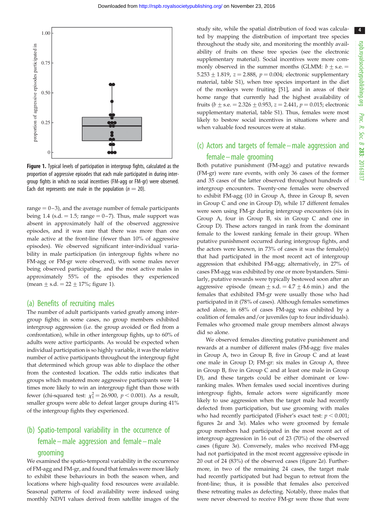<span id="page-3-0"></span>

Figure 1. Typical levels of participation in intergroup fights, calculated as the proportion of aggressive episodes that each male participated in during intergroup fights in which no social incentives (FM-agg or FM-gr) were observed. Each dot represents one male in the population ( $n = 20$ ).

range  $= 0-3$ ), and the average number of female participants being 1.4 (s.d.  $= 1.5$ ; range  $= 0-7$ ). Thus, male support was absent in approximately half of the observed aggressive episodes, and it was rare that there was more than one male active at the front-line (fewer than 10% of aggressive episodes). We observed significant inter-individual variability in male participation (in intergroup fights where no FM-agg or FM-gr were observed), with some males never being observed participating, and the most active males in approximately 55% of the episodes they experienced (mean  $\pm$  s.d. = 22  $\pm$  17%; figure 1).

#### (a) Benefits of recruiting males

The number of adult participants varied greatly among intergroup fights; in some cases, no group members exhibited intergroup aggression (i.e. the group avoided or fled from a confrontation), while in other intergroup fights, up to 60% of adults were active participants. As would be expected when individual participation is so highly variable, it was the relative number of active participants throughout the intergroup fight that determined which group was able to displace the other from the contested location. The odds ratio indicates that groups which mustered more aggressive participants were 14 times more likely to win an intergroup fight than those with fewer (chi-squared test:  $\chi_1^2 = 26.900$ ,  $p < 0.001$ ). As a result, smaller groups were able to defeat larger groups during 41% of the intergroup fights they experienced.

## (b) Spatio-temporal variability in the occurrence of female –male aggression and female –male grooming

We examined the spatio-temporal variability in the occurrence of FM-agg and FM-gr, and found that females were more likely to exhibit these behaviours in both the season when, and locations where high-quality food resources were available. Seasonal patterns of food availability were indexed using monthly NDVI values derived from satellite images of the

study site, while the spatial distribution of food was calculated by mapping the distribution of important tree species throughout the study site, and monitoring the monthly availability of fruits on these tree species (see the electronic supplementary material). Social incentives were more commonly observed in the summer months (GLMM:  $b \pm s.e.$  = 5.253  $\pm$  1.819,  $z = 2.888$ ,  $p = 0.004$ ; electronic supplementary material, table S1), when tree species important in the diet of the monkeys were fruiting [\[51](#page-7-0)], and in areas of their home range that currently had the highest availability of fruits ( $b \pm$  s.e. = 2.326  $\pm$  0.953,  $z = 2.441$ ,  $p = 0.015$ ; electronic supplementary material, table S1). Thus, females were most likely to bestow social incentives in situations where and when valuable food resources were at stake.

## (c) Actors and targets of female –male aggression and female –male grooming

Both putative punishment (FM-agg) and putative rewards (FM-gr) were rare events, with only 36 cases of the former and 35 cases of the latter observed throughout hundreds of intergroup encounters. Twenty-one females were observed to exhibit FM-agg (10 in Group A, three in Group B, seven in Group C and one in Group D), while 17 different females were seen using FM-gr during intergroup encounters (six in Group A, four in Group B, six in Group C and one in Group D). These actors ranged in rank from the dominant female to the lowest ranking female in their group. When putative punishment occurred during intergroup fights, and the actors were known, in 73% of cases it was the female(s) that had participated in the most recent act of intergroup aggression that exhibited FM-agg; alternatively, in 27% of cases FM-agg was exhibited by one or more bystanders. Similarly, putative rewards were typically bestowed soon after an aggressive episode (mean  $\pm$  s.d. = 4.7  $\pm$  4.6 min.) and the females that exhibited FM-gr were usually those who had participated in it (78% of cases). Although females sometimes acted alone, in 68% of cases FM-agg was exhibited by a coalition of females and/or juveniles (up to four individuals). Females who groomed male group members almost always did so alone.

We observed females directing putative punishment and rewards at a number of different males (FM-agg: five males in Group A, two in Group B, five in Group C and at least one male in Group D; FM-gr: six males in Group A, three in Group B, five in Group C and at least one male in Group D), and these targets could be either dominant or lowranking males. When females used social incentives during intergroup fights, female actors were significantly more likely to use aggression when the target male had recently defected from participation, but use grooming with males who had recently participated (Fisher's exact test:  $p < 0.001$ ; figures [2](#page-4-0)a and [3](#page-4-0)a). Males who were groomed by female group members had participated in the most recent act of intergroup aggression in 16 out of 23 (70%) of the observed cases [\(figure 3](#page-4-0)a). Conversely, males who received FM-agg had not participated in the most recent aggressive episode in 20 out of 24 (83%) of the observed cases ([figure 2](#page-4-0)a). Furthermore, in two of the remaining 24 cases, the target male had recently participated but had begun to retreat from the front-line; thus, it is possible that females also perceived these retreating males as defecting. Notably, three males that were never observed to receive FM-gr were those that were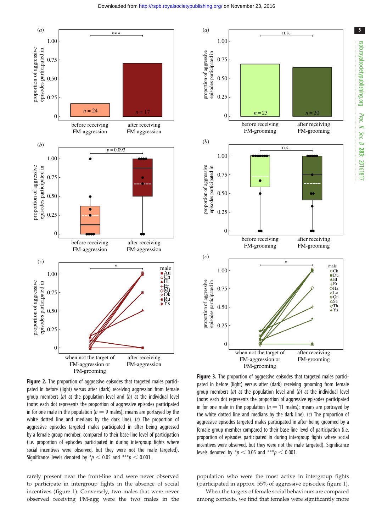<span id="page-4-0"></span>

(*a*)



when not the target of FM-aggression or FM-grooming after receiving FM-aggression

0

Figure 2. The proportion of aggressive episodes that targeted males participated in before (light) versus after (dark) receiving aggression from female group members  $(a)$  at the population level and  $(b)$  at the individual level (note: each dot represents the proportion of aggressive episodes participated in for one male in the population ( $n = 9$  males); means are portrayed by the white dotted line and medians by the dark line). (c) The proportion of aggressive episodes targeted males participated in after being aggressed by a female group member, compared to their base-line level of participation (i.e. proportion of episodes participated in during intergroup fights where social incentives were observed, but they were not the male targeted). Significance levels denoted by  $p < 0.05$  and  $p \cdot p < 0.001$ .

rarely present near the front-line and were never observed to participate in intergroup fights in the absence of social incentives ([figure 1](#page-3-0)). Conversely, two males that were never observed receiving FM-agg were the two males in the

Figure 3. The proportion of aggressive episodes that targeted males participated in before (light) versus after (dark) receiving grooming from female group members (*a*) at the population level and (*b*) at the individual level (note: each dot represents the proportion of aggressive episodes participated in for one male in the population ( $n = 11$  males); means are portrayed by the white dotted line and medians by the dark line). (c) The proportion of aggressive episodes targeted males participated in after being groomed by a female group member compared to their base-line level of participation (i.e. proportion of episodes participated in during intergroup fights where social incentives were observed, but they were not the male targeted). Significance levels denoted by  $p < 0.05$  and  $***p < 0.001$ .

FM-grooming

population who were the most active in intergroup fights (participated in approx. 55% of aggressive episodes; [figure 1\)](#page-3-0).

When the targets of female social behaviours are compared among contexts, we find that females were significantly more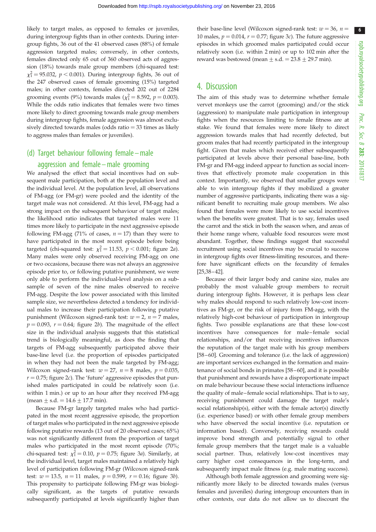likely to target males, as opposed to females or juveniles, during intergroup fights than in other contexts. During intergroup fights, 36 out of the 41 observed cases (88%) of female aggression targeted males; conversely, in other contexts, females directed only 65 out of 360 observed acts of aggression (18%) towards male group members (chi-squared test:  $\chi_1^2$  = 95.032,  $p < 0.001$ ). During intergroup fights, 36 out of the 247 observed cases of female grooming (15%) targeted males; in other contexts, females directed 202 out of 2284 grooming events (9%) towards males ( $\chi_1^2 = 8.592$ ,  $p = 0.003$ ). While the odds ratio indicates that females were two times more likely to direct grooming towards male group members during intergroup fights, female aggression was almost exclusively directed towards males (odds ratio  $=$  33 times as likely to aggress males than females or juveniles).

# (d) Target behaviour following female –male

## aggression and female –male grooming

We analysed the effect that social incentives had on subsequent male participation, both at the population level and the individual level. At the population level, all observations of FM-agg (or FM-gr) were pooled and the identity of the target male was not considered. At this level, FM-agg had a strong impact on the subsequent behaviour of target males; the likelihood ratio indicates that targeted males were 11 times more likely to participate in the next aggressive episode following FM-agg (71% of cases,  $n = 17$ ) than they were to have participated in the most recent episode before being targeted (chi-squared test:  $\chi_1^2 = 11.53$ ,  $p < 0.001$ ; [figure 2](#page-4-0)*a*). Many males were only observed receiving FM-agg on one or two occasions, because there was not always an aggressive episode prior to, or following putative punishment, we were only able to perform the individual-level analysis on a subsample of seven of the nine males observed to receive FM-agg. Despite the low power associated with this limited sample size, we nevertheless detected a tendency for individual males to increase their participation following putative punishment (Wilcoxon signed-rank test:  $w = 2$ ,  $n = 7$  males,  $p = 0.093$ ,  $r = 0.64$ ; [figure 2](#page-4-0)b). The magnitude of the effect size in the individual analysis suggests that this statistical trend is biologically meaningful, as does the finding that targets of FM-agg subsequently participated above their base-line level (i.e. the proportion of episodes participated in when they had not been the male targeted by FM-agg; Wilcoxon signed-rank test:  $w = 27$ ,  $n = 8$  males,  $p = 0.035$ ,  $r = 0.75$ ; [figure 2](#page-4-0)c). The 'future' aggressive episodes that punished males participated in could be relatively soon (i.e. within 1 min.) or up to an hour after they received FM-agg (mean  $\pm$  s.d. = 14.6  $\pm$  17.7 min).

Because FM-gr largely targeted males who had participated in the most recent aggressive episode, the proportion of target males who participated in the next aggressive episode following putative rewards (13 out of 20 observed cases; 65%) was not significantly different from the proportion of target males who participated in the most recent episode (70%; chi-squared test:  $\chi_1^2 = 0.10$ ,  $p = 0.75$ ; [figure 3](#page-4-0)*a*). Similarly, at the individual level, target males maintained a relatively high level of participation following FM-gr (Wilcoxon signed-rank test:  $w = 13.5$ ,  $n = 11$  males,  $p = 0.599$ ,  $r = 0.16$ ; [figure 3](#page-4-0)*b*). This propensity to participate following FM-gr was biologically significant, as the targets of putative rewards subsequently participated at levels significantly higher than

their base-line level (Wilcoxon signed-rank test:  $w = 36$ ,  $n =$ 10 males,  $p = 0.014$ ,  $r = 0.77$ ; [figure 3](#page-4-0)c). The future aggressive episodes in which groomed males participated could occur relatively soon (i.e. within 2 min) or up to 102 min after the reward was bestowed (mean  $\pm$  s.d. = 23.8  $\pm$  29.7 min).

## 4. Discussion

The aim of this study was to determine whether female vervet monkeys use the carrot (grooming) and/or the stick (aggression) to manipulate male participation in intergroup fights when the resources limiting to female fitness are at stake. We found that females were more likely to direct aggression towards males that had recently defected, but groom males that had recently participated in the intergroup fight. Given that males which received either subsequently participated at levels above their personal base-line, both FM-gr and FM-agg indeed appear to function as social incentives that effectively promote male cooperation in this context. Importantly, we observed that smaller groups were able to win intergroup fights if they mobilized a greater number of aggressive participants, indicating there was a significant benefit to recruiting male group members. We also found that females were more likely to use social incentives when the benefits were greatest. That is to say, females used the carrot and the stick in both the season when, and areas of their home range where, valuable food resources were most abundant. Together, these findings suggest that successful recruitment using social incentives may be crucial to success in intergroup fights over fitness-limiting resources, and therefore have significant effects on the fecundity of females [[25](#page-7-0),[38](#page-7-0)–[42](#page-7-0)].

Because of their larger body and canine size, males are probably the most valuable group members to recruit during intergroup fights. However, it is perhaps less clear why males should respond to such relatively low-cost incentives as FM-gr, or the risk of injury from FM-agg, with the relatively high-cost behaviour of participation in intergroup fights. Two possible explanations are that these low-cost incentives have consequences for male–female social relationships, and/or that receiving incentives influences the reputation of the target male with his group members [[58](#page-8-0) –[60](#page-8-0)]. Grooming and tolerance (i.e. the lack of aggression) are important services exchanged in the formation and maintenance of social bonds in primates [\[58](#page-8-0)–[60](#page-8-0)], and it is possible that punishment and rewards have a disproportionate impact on male behaviour because these social interactions influence the quality of male– female social relationships. That is to say, receiving punishment could damage the target male's social relationship(s), either with the female actor(s) directly (i.e. experience based) or with other female group members who have observed the social incentive (i.e. reputation or information based). Conversely, receiving rewards could improve bond strength and potentially signal to other female group members that the target male is a valuable social partner. Thus, relatively low-cost incentives may carry higher cost consequences in the long-term, and subsequently impact male fitness (e.g. male mating success).

Although both female aggression and grooming were significantly more likely to be directed towards males (versus females and juveniles) during intergroup encounters than in other contexts, our data do not allow us to discount the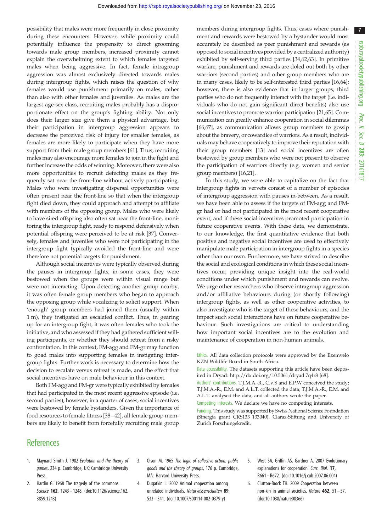<span id="page-6-0"></span>possibility that males were more frequently in close proximity during these encounters. However, while proximity could potentially influence the propensity to direct grooming towards male group members, increased proximity cannot explain the overwhelming extent to which females targeted males when being aggressive. In fact, female intragroup aggression was almost exclusively directed towards males during intergroup fights, which raises the question of why females would use punishment primarily on males, rather than also with other females and juveniles. As males are the largest age-sex class, recruiting males probably has a disproportionate effect on the group's fighting ability. Not only does their larger size give them a physical advantage, but their participation in intergroup aggression appears to decrease the perceived risk of injury for smaller females, as females are more likely to participate when they have more support from their male group members [\[61](#page-8-0)]. Thus, recruiting males may also encourage more females to join in the fight and further increase the odds of winning. Moreover, there were also more opportunities to recruit defecting males as they frequently sat near the front-line without actively participating. Males who were investigating dispersal opportunities were often present near the front-line so that when the intergroup fight died down, they could approach and attempt to affiliate with members of the opposing group. Males who were likely to have sired offspring also often sat near the front-line, monitoring the intergroup fight, ready to respond defensively when potential offspring were perceived to be at risk [\[37\]](#page-7-0). Conversely, females and juveniles who were not participating in the intergroup fight typically avoided the front-line and were therefore not potential targets for punishment.

Although social incentives were typically observed during the pauses in intergroup fights, in some cases, they were bestowed when the groups were within visual range but were not interacting. Upon detecting another group nearby, it was often female group members who began to approach the opposing group while vocalizing to solicit support. When 'enough' group members had joined them (usually within 1 m), they instigated an escalated conflict. Thus, in gearing up for an intergroup fight, it was often females who took the initiative, and who assessed if they had gathered sufficient willing participants, or whether they should retreat from a risky confrontation. In this context, FM-agg and FM-gr may function to goad males into supporting females in instigating intergroup fights. Further work is necessary to determine how the decision to escalate versus retreat is made, and the effect that social incentives have on male behaviour in this context.

Both FM-agg and FM-gr were typically exhibited by females that had participated in the most recent aggressive episode (i.e. second parties); however, in a quarter of cases, social incentives were bestowed by female bystanders. Given the importance of food resources to female fitness [\[38](#page-7-0)–[42\]](#page-7-0), all female group members are likely to benefit from forcefully recruiting male group members during intergroup fights. Thus, cases where punishment and rewards were bestowed by a bystander would most accurately be described as peer punishment and rewards (as opposed to social incentives provided by a centralized authority) exhibited by self-serving third parties [[34](#page-7-0),[62,63](#page-8-0)]. In primitive warfare, punishment and rewards are doled out both by other warriors (second parties) and other group members who are in many cases, likely to be self-interested third parties [\[16,](#page-7-0)[64\]](#page-8-0); however, there is also evidence that in larger groups, third parties who do not frequently interact with the target (i.e. individuals who do not gain significant direct benefits) also use social incentives to promote warrior participation [[21](#page-7-0)[,65](#page-8-0)]. Communication can greatly enhance cooperation in social dilemmas [[66,67](#page-8-0)], as communication allows group members to gossip about the bravery, or cowardice of warriors. As a result, individuals may behave cooperatively to improve their reputation with their group members [[13\]](#page-7-0) and social incentives are often bestowed by group members who were not present to observe the participation of warriors directly (e.g. women and senior group members) [[16](#page-7-0),[21](#page-7-0)].

In this study, we were able to capitalize on the fact that intergroup fights in vervets consist of a number of episodes of intergroup aggression with pauses in-between. As a result, we have been able to assess if the targets of FM-agg and FMgr had or had not participated in the most recent cooperative event, and if these social incentives promoted participation in future cooperative events. With these data, we demonstrate, to our knowledge, the first quantitative evidence that both positive and negative social incentives are used to effectively manipulate male participation in intergroup fights in a species other than our own. Furthermore, we have strived to describe the social and ecological conditions in which these social incentives occur, providing unique insight into the real-world conditions under which punishment and rewards can evolve. We urge other researchers who observe intragroup aggression and/or affiliative behaviours during (or shortly following) intergroup fights, as well as other cooperative activities, to also investigate who is the target of these behaviours, and the impact such social interactions have on future cooperative behaviour. Such investigations are critical to understanding how important social incentives are to the evolution and maintenance of cooperation in non-human animals.

Ethics. All data collection protocols were approved by the Ezemvelo KZN Wildlife Board in South Africa.

Data accessibility. The datasets supporting this article have been deposited in Dryad:<http://dx.doi.org/10.5061/dryad.7q4r8> [[68\]](#page-8-0).

Authors' contributions. T.J.M.A.-R., C.v.S and E.P.W conceived the study; T.J.M.A.-R., E.M. and A.L.T. collected the data; T.J.M.A.-R., E.M. and A.L.T. analysed the data, and all authors wrote the paper.

Competing interests. We declare we have no competing interests.

Funding. This study was supported by Swiss National Science Foundation (Sinergia grant CRS133\_133040), Claraz-Stiftung and University of Zurich Forschungskredit.

## **References**

- 1. Maynard Smith J. 1982 Evolution and the theory of games, 234 p. Cambridge, UK: Cambridge University Press
- 2. Hardin G. 1968 The tragedy of the commons. Science 162, 1243 - 1248. ([doi:10.1126/science.162.](http://dx.doi.org/10.1126/science.162.3859.1243) [3859.1243\)](http://dx.doi.org/10.1126/science.162.3859.1243)
- 3. Olson M. 1965 The logic of collective action: public goods and the theory of groups, 176 p. Cambridge, MA: Harvard University Press.
- 4. Dugatkin L. 2002 Animal cooperation among unrelated individuals. Naturwissenschaften 89, 533 – 541. [\(doi:10.1007/s00114-002-0379-y](http://dx.doi.org/10.1007/s00114-002-0379-y))
- 5. West SA, Griffin AS, Gardner A. 2007 Evolutionary explanations for cooperation. Curr. Biol. 17. R661– R672. [\(doi:10.1016/j.cub.2007.06.004\)](http://dx.doi.org/10.1016/j.cub.2007.06.004)
- 6. Clutton-Brock TH. 2009 Cooperation between non-kin in animal societies. Nature 462, 51 – 57. ([doi:10.1038/nature08366\)](http://dx.doi.org/10.1038/nature08366)

7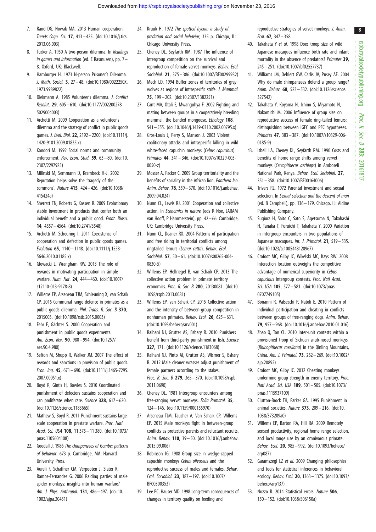- <span id="page-7-0"></span>7. Rand DG, Nowak MA. 2013 Human cooperation. Trends Cogn. Sci. 17, 413– 425. ([doi:10.1016/j.tics.](http://dx.doi.org/10.1016/j.tics.2013.06.003) [2013.06.003\)](http://dx.doi.org/10.1016/j.tics.2013.06.003)
- 8. Tucker A. 1950 A two-person dilemma. In Readings in games and information (ed. E Rasmusen), pp. 7– 8. Oxford, UK: Blackwell.
- 9. Hamburger H. 1973 N-person Prisoner's Dilemma. J. Math. Sociol. 3, 27 – 48. ([doi:10.1080/0022250X.](http://dx.doi.org/10.1080/0022250X.1973.9989822) [1973.9989822\)](http://dx.doi.org/10.1080/0022250X.1973.9989822)
- 10. Diekmann A. 1985 Volunteer's dilemma. J. Conflict Resolut. 29, 605 – 610. ([doi:10.1177/002200278](http://dx.doi.org/10.1177/0022002785029004003) [5029004003\)](http://dx.doi.org/10.1177/0022002785029004003)
- 11. Archetti M. 2009 Cooperation as a volunteer's dilemma and the strategy of conflict in public goods games. J. Evol. Biol. 22, 2192 – 2200. [\(doi:10.1111/j.](http://dx.doi.org/10.1111/j.1420-9101.2009.01835.x) [1420-9101.2009.01835.x\)](http://dx.doi.org/10.1111/j.1420-9101.2009.01835.x)
- 12. Kandori M. 1992 Social norms and community enforcement. Rev. Econ. Stud. 59, 63-80. ([doi:10.](http://dx.doi.org/10.2307/2297925) [2307/2297925\)](http://dx.doi.org/10.2307/2297925)
- 13. Milinski M, Semmann D, Krambeck H-J. 2002 Reputation helps solve the 'tragedy of the commons'. Nature 415, 424– 426. [\(doi:10.1038/](http://dx.doi.org/10.1038/415424a) [415424a\)](http://dx.doi.org/10.1038/415424a)
- 14. Sherratt TN, Roberts G, Kassen R. 2009 Evolutionary stable investment in products that confer both an individual benefit and a public good. Front. Biosci. 14, 4557– 4564. [\(doi:10.2741/3548\)](http://dx.doi.org/10.2741/3548)
- 15. Archetti M, Scheuring I. 2011 Coexistence of cooperation and defection in public goods games. Evolution 65, 1140– 1148. [\(doi:10.1111/j.1558-](http://dx.doi.org/10.1111/j.1558-5646.2010.01185.x) [5646.2010.01185.x](http://dx.doi.org/10.1111/j.1558-5646.2010.01185.x))
- 16. Glowacki L, Wrangham RW. 2013 The role of rewards in motivating participation in simple warfare. Hum. Nat. 24, 444– 460. [\(doi:10.1007/](http://dx.doi.org/10.1007/s12110-013-9178-8) [s12110-013-9178-8\)](http://dx.doi.org/10.1007/s12110-013-9178-8)
- 17. Willems EP, Arseneau TJM, Schleuning X, van Schaik CP. 2015 Communal range defence in primates as a public goods dilemma. Phil. Trans. R. Soc. B 370, 2015003. ([doi:10.1098/rstb.2015.0003\)](http://dx.doi.org/10.1098/rstb.2015.0003)
- 18. Fehr E, Gächter S. 2000 Cooperation and punishment in public goods experiments. Am. Econ. Rev. 90, 980– 994. ([doi:10.1257/](http://dx.doi.org/10.1257/aer.90.4.980) [aer.90.4.980\)](http://dx.doi.org/10.1257/aer.90.4.980)
- 19. Sefton M, Shupp R, Walker JM. 2007 The effect of rewards and sanctions in provision of public goods. Econ. Inq. 45, 671– 690. [\(doi:10.1111/j.1465-7295.](http://dx.doi.org/10.1111/j.1465-7295.2007.00051.x) [2007.00051.x\)](http://dx.doi.org/10.1111/j.1465-7295.2007.00051.x)
- 20. Boyd R, Gintis H, Bowles S, 2010 Coordinated punishment of defectors sustains cooperation and can proliferate when rare. Science 328, 617-620. [\(doi:10.1126/science.1183665\)](http://dx.doi.org/10.1126/science.1183665)
- 21. Mathew S, Boyd R. 2011 Punishment sustains largescale cooperation in prestate warfare. Proc. Natl Acad. Sci. USA 108, 11 375 – 11 380. ([doi:10.1073/](http://dx.doi.org/10.1073/pnas.1105604108) [pnas.1105604108](http://dx.doi.org/10.1073/pnas.1105604108))
- 22. Goodall J. 1986 The chimpanzees of Gombe: patterns of behavior, 673 p. Cambridge, MA: Harvard University Press.
- 23. Aureli F, Schaffner CM, Verpooten J, Slater K, Ramos-Fernandez G. 2006 Raiding parties of male spider monkeys: insights into human warfare? Am. J. Phys. Anthropol. 131, 486– 497. [\(doi:10.](http://dx.doi.org/10.1002/ajpa.20451) [1002/ajpa.20451](http://dx.doi.org/10.1002/ajpa.20451))
- 24. Kruuk H. 1972 The spotted hyena: a study of predation and social behavior, 335 p. Chicago, IL: Chicago University Press.
- 25. Cheney DL, Seyfarth RM. 1987 The influence of intergroup competition on the survival and reproduction of female vervet monkeys. Behav. Ecol. Sociobiol. 21, 375– 386. ([doi:10.1007/BF00299932](http://dx.doi.org/10.1007/BF00299932))
- 26. Mech LD. 1994 Buffer zones of territories of gray wolves as regions of intraspecific strife. J. Mammal. 75, 199– 202. ([doi:10.2307/1382251\)](http://dx.doi.org/10.2307/1382251)
- 27. Cant MA, Otali E, Mwanguhya F. 2002 Fighting and mating between groups in a cooperatively breeding mammal, the banded mongoose. Ethology 108, 541 – 555. [\(doi:10.1046/j.1439-0310.2002.00795.x](http://dx.doi.org/10.1046/j.1439-0310.2002.00795.x))
- 28. Gros-Louis J, Perry S, Manson J. 2003 Violent coalitionary attacks and intraspecific killing in wild white-faced capuchin monkeys (Cebus capucinus). Primates 44, 341– 346. ([doi:10.1007/s10329-003-](http://dx.doi.org/10.1007/s10329-003-0050-z) [0050-z\)](http://dx.doi.org/10.1007/s10329-003-0050-z)
- 29. Mosser A, Packer C. 2009 Group territoriality and the benefits of sociality in the African lion, Panthera leo. Anim. Behav. 78, 359– 370. [\(doi:10.1016/j.anbehav.](http://dx.doi.org/10.1016/j.anbehav.2009.04.024) [2009.04.024\)](http://dx.doi.org/10.1016/j.anbehav.2009.04.024)
- 30. Nunn CL, Lewis RJ. 2001 Cooperation and collective action. In Economics in nature (eds R Noe, JARAM van Hooff, P Hammerstein), pp. 42 – 66. Cambridge, UK: Cambridge University Press.
- 31. Nunn CL, Deaner RO. 2004 Patterns of participation and free riding in territorial conflicts among ringtailed lemurs (Lemur catta). Behav. Ecol. Sociobiol. 57, 50-61. [\(doi:10.1007/s00265-004-](http://dx.doi.org/10.1007/s00265-004-0830-5) [0830-5](http://dx.doi.org/10.1007/s00265-004-0830-5))
- 32. Willems EP, Hellriegel B, van Schaik CP. 2013 The collective action problem in primate territory economics. Proc. R. Soc. B 280, 20130081. [\(doi:10.](http://dx.doi.org/10.1098/rspb.2013.0081) [1098/rspb.2013.0081\)](http://dx.doi.org/10.1098/rspb.2013.0081)
- 33. Willems EP, van Schaik CP. 2015 Collective action and the intensity of between-group competition in nonhuman primates. Behav. Ecol. 26, 625 – 631. [\(doi:10.1093/beheco/arv001](http://dx.doi.org/10.1093/beheco/arv001))
- 34. Raihani NJ, Grutter AS, Bshary R. 2010 Punishers benefit from third-party punishment in fish. Science 327, 171. ([doi:10.1126/science.1183068](http://dx.doi.org/10.1126/science.1183068))
- 35. Raihani NJ, Pinto AI, Grutter AS, Wismer S, Bshary R. 2012 Male cleaner wrasses adjust punishment of female partners according to the stakes. Proc. R. Soc. B 279, 365-370. ([doi:10.1098/rspb.](http://dx.doi.org/10.1098/rspb.2011.0690) [2011.0690\)](http://dx.doi.org/10.1098/rspb.2011.0690)
- 36. Cheney DL. 1981 Intergroup encounters among free-ranging vervet monkeys. Folia Primatol. 35, 124 – 146. [\(doi:10.1159/000155970](http://dx.doi.org/10.1159/000155970))
- 37. Arseneau TJM, Taucher A, Van Schaik CP, Willems EP. 2015 Male monkeys fight in between-group conflicts as protective parents and reluctant recruits. Anim. Behav. 110, 39 – 50. [\(doi:10.1016/j.anbehav.](http://dx.doi.org/10.1016/j.anbehav.2015.09.006) [2015.09.006\)](http://dx.doi.org/10.1016/j.anbehav.2015.09.006)
- 38. Robinson JG. 1988 Group size in wedge-capped capuchin monkeys Cebus olivaceus and the reproductive success of males and females. Behav. Ecol. Sociobiol. 23, 187 – 197. ([doi:10.1007/](http://dx.doi.org/10.1007/BF00300353) [BF00300353\)](http://dx.doi.org/10.1007/BF00300353)
- 39. Lee PC, Hauser MD. 1998 Long-term consequences of changes in territory quality on feeding and

reproductive strategies of vervet monkeys. J. Anim. Ecol. 67, 347–358.

- 40. Takahata Y et al. 1998 Does troop size of wild Japanese macaques influence birth rate and infant mortality in the absence of predators? Primates 39, 245– 251. [\(doi:10.1007/bf02557737](http://dx.doi.org/10.1007/bf02557737))
- 41. Williams JM, Oehlert GW, Carlis JV, Pusey AE. 2004 Why do male chimpanzees defend a group range? Anim. Behav. 68, 523– 532. [\(doi:10.1126/science.](http://dx.doi.org/10.1126/science.327542) [327542\)](http://dx.doi.org/10.1126/science.327542)
- 42. Takahata Y, Koyama N, Ichino S, Miyamoto N, Nakamichi M. 2006 Influence of group size on reproductive success of female ring-tailed lemurs: distinguishing between IGFC and PFC hypotheses. Primates 47, 383 – 387. ([doi:10.1007/s10329-006-](http://dx.doi.org/10.1007/s10329-006-0185-9) [0185-9](http://dx.doi.org/10.1007/s10329-006-0185-9))
- 43. Isbell LA, Cheney DL, Seyfarth RM. 1990 Costs and benefits of home range shifts among vervet monkeys (Cercopithecus aethiops) in Amboseli National Park, Kenya. Behav. Ecol. Sociobiol. 27, 351– 358. [\(doi:10.1007/BF00164006](http://dx.doi.org/10.1007/BF00164006))
- 44. Trivers RL. 1972 Parental investment and sexual selection. In Sexual selection and the descent of man (ed. B Campbell), pp. 136 – 179. Chicago, IL: Aldine Publishing Company.
- 45. Sugiura H, Saito C, Sato S, Agetsuma N, Takahashi H, Tanaka T, Furuichi T, Takahata Y. 2000 Variation in intergroup encounters in two populations of Japanese macaques. Int. J. Primatol. 21, 519 – 535. ([doi:10.1023/a:1005448120967](http://dx.doi.org/10.1023/a:1005448120967))
- 46. Crofoot MC, Gilby IC, Wikelski MC, Kays RW. 2008 Interaction location outweighs the competitive advantage of numerical superiority in Cebus capucinus intergroup contests. Proc. Natl Acad. Sci. USA 105, 577-581. ([doi:10.1073/pnas.](http://dx.doi.org/10.1073/pnas.0707749105) [0707749105](http://dx.doi.org/10.1073/pnas.0707749105))
- 47. Bonanni R, Valsecchi P, Natoli E. 2010 Pattern of individual participation and cheating in conflicts between groups of free-ranging dogs. Anim. Behav. 79, 957 – 968. [\(doi:10.1016/j.anbehav.2010.01.016\)](http://dx.doi.org/10.1016/j.anbehav.2010.01.016)
- 48. Zhao Q, Tan CL. 2010 Inter-unit contests within a provisioned troop of Sichuan snub-nosed monkeys (Rhinopithecus roxellana) in the Qinling Mountains, China. Am. J. Primatol. 73, 262– 269. [\(doi:10.1002/](http://dx.doi.org/10.1002/ajp.20892) [ajp.20892\)](http://dx.doi.org/10.1002/ajp.20892)
- 49. Crofoot MC, Gilby IC. 2012 Cheating monkeys undermine group strength in enemy territory. Proc. Natl Acad. Sci. USA 109, 501– 505. [\(doi:10.1073/](http://dx.doi.org/10.1073/pnas.1115937109) [pnas.1115937109\)](http://dx.doi.org/10.1073/pnas.1115937109)
- 50. Clutton-Brock TH, Parker GA. 1995 Punishment in animal societies. Nature  $373$ ,  $209 - 216$ . [\(doi:10.](http://dx.doi.org/10.1038/373209a0) [1038/373209a0](http://dx.doi.org/10.1038/373209a0))
- 51. Willems EP, Barton RA, Hill RA. 2009 Remotely sensed productivity, regional home range selection, and local range use by an omnivorous primate. Behav. Ecol. 20, 985 – 992. ([doi:10.1093/beheco/](http://dx.doi.org/10.1093/beheco/arp087) [arp087\)](http://dx.doi.org/10.1093/beheco/arp087)
- 52. Garamszegi LZ et al. 2009 Changing philosophies and tools for statistical inferences in behavioral ecology. Behav. Ecol. 20, 1363 – 1375. [\(doi:10.1093/](http://dx.doi.org/10.1093/beheco/arp137) [beheco/arp137\)](http://dx.doi.org/10.1093/beheco/arp137)
- 53. Nuzzo R. 2014 Statistical errors. Nature 506, 150– 152. [\(doi:10.1038/506150a](http://dx.doi.org/10.1038/506150a))